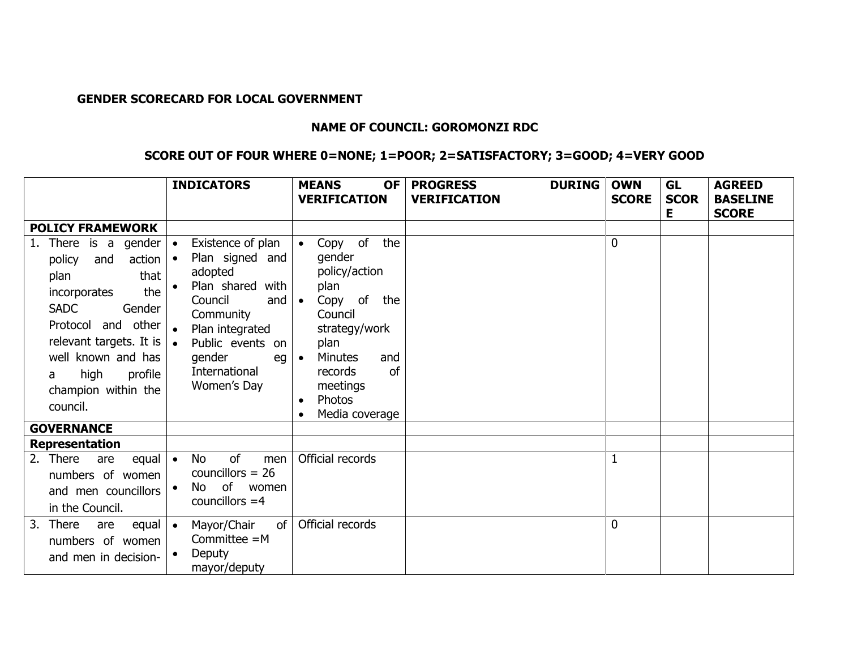## **GENDER SCORECARD FOR LOCAL GOVERNMENT**

## **NAME OF COUNCIL: GOROMONZI RDC**

## **SCORE OUT OF FOUR WHERE 0=NONE; 1=POOR; 2=SATISFACTORY; 3=GOOD; 4=VERY GOOD**

|                                                                                                                                                                                                                                                                        | <b>INDICATORS</b>                                                                                                                                                                                                                   | <b>MEANS</b><br><b>OF</b><br><b>VERIFICATION</b>                                                                                                                                                                                                      | <b>DURING</b><br><b>PROGRESS</b><br><b>VERIFICATION</b> | <b>OWN</b><br><b>SCORE</b> | <b>GL</b><br><b>SCOR</b><br>Е | <b>AGREED</b><br><b>BASELINE</b><br><b>SCORE</b> |
|------------------------------------------------------------------------------------------------------------------------------------------------------------------------------------------------------------------------------------------------------------------------|-------------------------------------------------------------------------------------------------------------------------------------------------------------------------------------------------------------------------------------|-------------------------------------------------------------------------------------------------------------------------------------------------------------------------------------------------------------------------------------------------------|---------------------------------------------------------|----------------------------|-------------------------------|--------------------------------------------------|
| <b>POLICY FRAMEWORK</b>                                                                                                                                                                                                                                                |                                                                                                                                                                                                                                     |                                                                                                                                                                                                                                                       |                                                         |                            |                               |                                                  |
| There is a gender<br>1.<br>$action \mid \bullet$<br>policy<br>and<br>that<br>plan<br>the<br>incorporates<br><b>SADC</b><br>Gender<br>and other<br>Protocol<br>relevant targets. It is<br>well known and has<br>high<br>profile<br>a<br>champion within the<br>council. | Existence of plan<br>$\bullet$<br>Plan signed and<br>adopted<br>Plan shared<br>with<br>Council<br>and<br>Community<br>Plan integrated<br>$\bullet$<br>Public events on<br>$\bullet$<br>gender<br>eg<br>International<br>Women's Day | Copy of<br>the<br>$\bullet$<br>gender<br>policy/action<br>plan<br>Copy of the<br>$\bullet$<br>Council<br>strategy/work<br>plan<br><b>Minutes</b><br>and<br>$\bullet$<br><sub>of</sub><br>records<br>meetings<br>Photos<br>$\bullet$<br>Media coverage |                                                         | 0                          |                               |                                                  |
| <b>GOVERNANCE</b>                                                                                                                                                                                                                                                      |                                                                                                                                                                                                                                     |                                                                                                                                                                                                                                                       |                                                         |                            |                               |                                                  |
| Representation                                                                                                                                                                                                                                                         |                                                                                                                                                                                                                                     |                                                                                                                                                                                                                                                       |                                                         |                            |                               |                                                  |
| 2. There<br>equal $\bullet$<br>are<br>numbers of women<br>and men councillors<br>in the Council.                                                                                                                                                                       | of<br>No<br>men<br>councillors $= 26$<br>of<br>No.<br>women<br>councillors $=4$                                                                                                                                                     | Official records                                                                                                                                                                                                                                      |                                                         |                            |                               |                                                  |
| 3.<br>There<br>equal  <br>are<br>numbers of women<br>and men in decision-                                                                                                                                                                                              | Mayor/Chair<br>of<br>$\bullet$<br>Committee $=M$<br>Deputy<br>mayor/deputy                                                                                                                                                          | Official records                                                                                                                                                                                                                                      |                                                         | 0                          |                               |                                                  |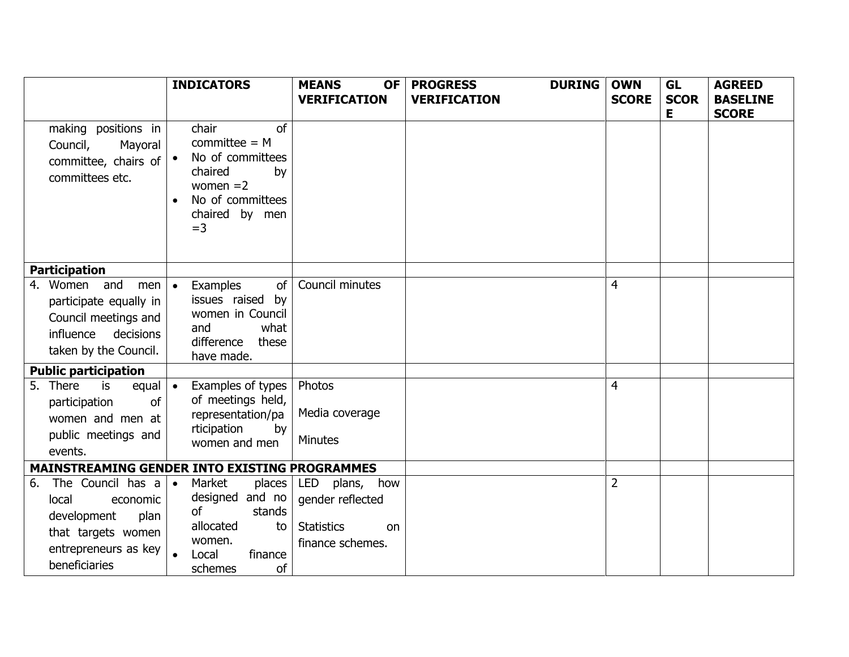|                                                                                                                                            | <b>INDICATORS</b>                                                                                                                | <b>MEANS</b><br><b>OF</b>                                                         | <b>PROGRESS</b><br><b>DURING</b> | <b>OWN</b>     | <b>GL</b>        | <b>AGREED</b>                   |
|--------------------------------------------------------------------------------------------------------------------------------------------|----------------------------------------------------------------------------------------------------------------------------------|-----------------------------------------------------------------------------------|----------------------------------|----------------|------------------|---------------------------------|
|                                                                                                                                            |                                                                                                                                  | <b>VERIFICATION</b>                                                               | <b>VERIFICATION</b>              | <b>SCORE</b>   | <b>SCOR</b><br>Е | <b>BASELINE</b><br><b>SCORE</b> |
| making positions in<br>Council,<br>Mayoral<br>committee, chairs of $  \cdot  $<br>committees etc.                                          | chair<br>of<br>$committee = M$<br>No of committees<br>chaired<br>by<br>women $=2$<br>No of committees<br>chaired by men<br>$=$ 3 |                                                                                   |                                  |                |                  |                                 |
| <b>Participation</b>                                                                                                                       |                                                                                                                                  |                                                                                   |                                  |                |                  |                                 |
| and<br>4. Women<br>men<br>participate equally in<br>Council meetings and<br>influence decisions<br>taken by the Council.                   | Examples<br>of<br>issues raised by<br>women in Council<br>what<br>and<br>difference<br>these<br>have made.                       | Council minutes                                                                   |                                  | 4              |                  |                                 |
| <b>Public participation</b>                                                                                                                |                                                                                                                                  |                                                                                   |                                  |                |                  |                                 |
| 5. There<br>is<br>equal $\vert \bullet$<br>of<br>participation<br>women and men at<br>public meetings and<br>events.                       | Examples of types<br>of meetings held,<br>representation/pa<br>rticipation<br>by<br>women and men                                | Photos<br>Media coverage<br><b>Minutes</b>                                        |                                  | 4              |                  |                                 |
| MAINSTREAMING GENDER INTO EXISTING PROGRAMMES                                                                                              |                                                                                                                                  |                                                                                   |                                  |                |                  |                                 |
| The Council has $a \cdot$<br>6.<br>local<br>economic<br>development<br>plan<br>that targets women<br>entrepreneurs as key<br>beneficiaries | Market<br>places<br>designed and no<br>οf<br>stands<br>allocated<br>to<br>women.<br>finance<br>Local<br>of<br>schemes            | LED plans, how<br>gender reflected<br><b>Statistics</b><br>on<br>finance schemes. |                                  | $\overline{2}$ |                  |                                 |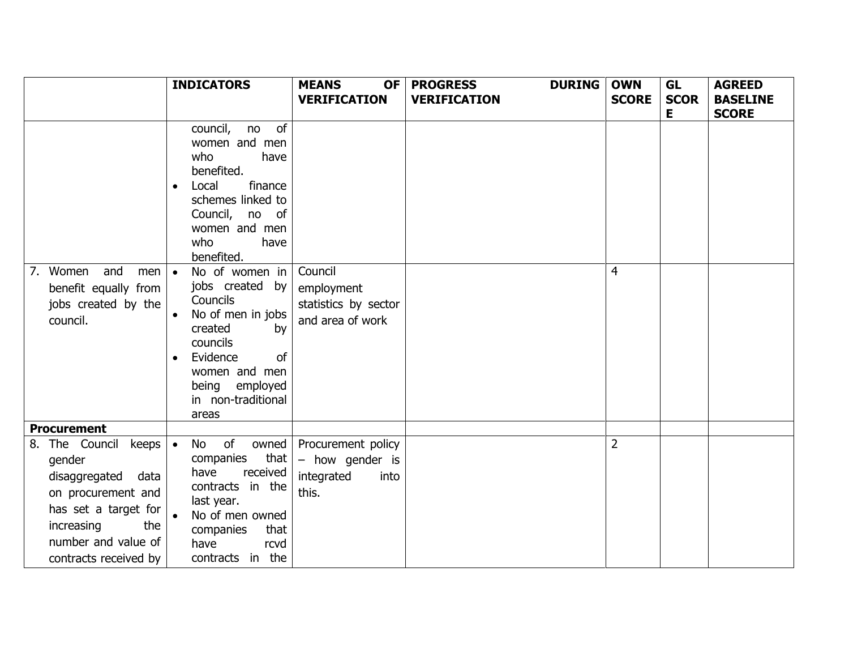|                                                                                                                                                                                                     | <b>INDICATORS</b>                                                                                                                                                                                                                                                                                                                                                                                         | <b>MEANS</b><br><b>OF</b>                                            | <b>PROGRESS</b><br><b>DURING</b> | <b>OWN</b>     | GL          | <b>AGREED</b>   |
|-----------------------------------------------------------------------------------------------------------------------------------------------------------------------------------------------------|-----------------------------------------------------------------------------------------------------------------------------------------------------------------------------------------------------------------------------------------------------------------------------------------------------------------------------------------------------------------------------------------------------------|----------------------------------------------------------------------|----------------------------------|----------------|-------------|-----------------|
|                                                                                                                                                                                                     |                                                                                                                                                                                                                                                                                                                                                                                                           | <b>VERIFICATION</b>                                                  | <b>VERIFICATION</b>              | <b>SCORE</b>   | <b>SCOR</b> | <b>BASELINE</b> |
| and<br>7. Women<br>men  <br>benefit equally from<br>jobs created by the<br>council.                                                                                                                 | council,<br>no of<br>women and men<br>who<br>have<br>benefited.<br>finance<br>Local<br>$\bullet$<br>schemes linked to<br>Council, no of<br>women and men<br>who<br>have<br>benefited.<br>No of women in<br>$\bullet$<br>jobs created by<br>Councils<br>No of men in jobs<br>$\bullet$<br>created<br>by<br>councils<br>Evidence<br>of<br>women and men<br>being<br>employed<br>in non-traditional<br>areas | Council<br>employment<br>statistics by sector<br>and area of work    |                                  | 4              | Е           | <b>SCORE</b>    |
| <b>Procurement</b>                                                                                                                                                                                  |                                                                                                                                                                                                                                                                                                                                                                                                           |                                                                      |                                  |                |             |                 |
| 8. The Council<br>keeps $\vert \bullet \vert$<br>gender<br>disaggregated<br>data<br>on procurement and<br>has set a target for<br>increasing<br>the<br>number and value of<br>contracts received by | $\circ$ of<br>owned<br>No<br>that<br>companies<br>received<br>have<br>contracts in the<br>last year.<br>No of men owned<br>that<br>companies<br>have<br>rcvd<br>contracts in the                                                                                                                                                                                                                          | Procurement policy<br>- how gender is<br>integrated<br>into<br>this. |                                  | $\overline{2}$ |             |                 |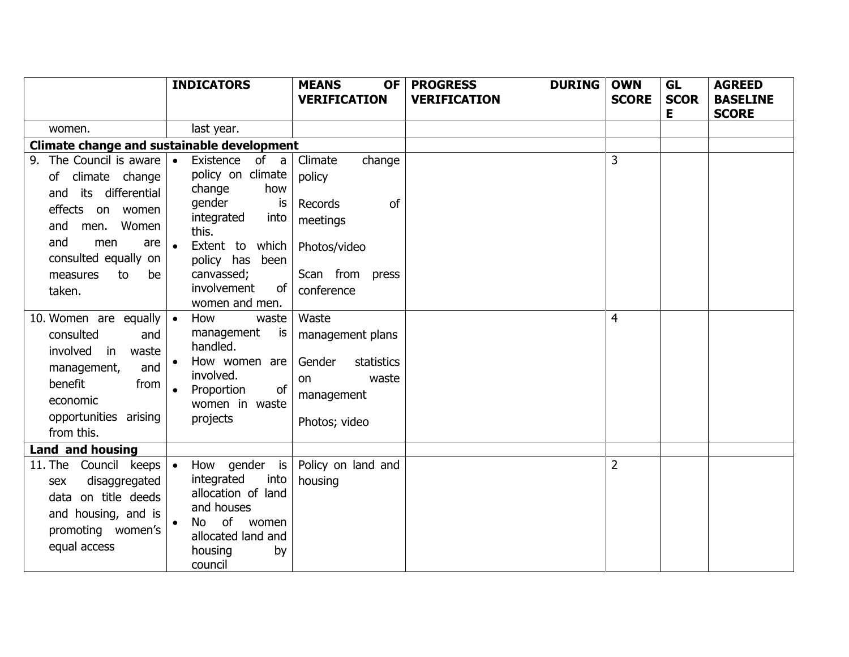|                                                                                                                                                                                                               | <b>INDICATORS</b>                                                                                                                                                                                       | <b>MEANS</b><br><b>OF</b>                                                                                               | <b>DURING</b><br><b>PROGRESS</b> | <b>OWN</b>     | <b>GL</b>         | <b>AGREED</b>                   |
|---------------------------------------------------------------------------------------------------------------------------------------------------------------------------------------------------------------|---------------------------------------------------------------------------------------------------------------------------------------------------------------------------------------------------------|-------------------------------------------------------------------------------------------------------------------------|----------------------------------|----------------|-------------------|---------------------------------|
|                                                                                                                                                                                                               |                                                                                                                                                                                                         | <b>VERIFICATION</b>                                                                                                     | <b>VERIFICATION</b>              | <b>SCORE</b>   | <b>SCOR</b><br>E. | <b>BASELINE</b><br><b>SCORE</b> |
| women.                                                                                                                                                                                                        | last year.                                                                                                                                                                                              |                                                                                                                         |                                  |                |                   |                                 |
| Climate change and sustainable development                                                                                                                                                                    |                                                                                                                                                                                                         |                                                                                                                         |                                  |                |                   |                                 |
| 9. The Council is aware $\cdot$<br>of climate change<br>its differential<br>and<br>effects<br>on women<br>Women<br>and<br>men.<br>and<br>men<br>are<br>consulted equally on<br>measures<br>to<br>be<br>taken. | Existence<br>of a<br>policy on climate<br>change<br>how<br>qender<br>is<br>integrated<br>into<br>this.<br>Extent to<br>which<br>policy has<br>been<br>canvassed;<br>of<br>involvement<br>women and men. | Climate<br>change<br>policy<br><sub>of</sub><br>Records<br>meetings<br>Photos/video<br>Scan from<br>press<br>conference |                                  | 3              |                   |                                 |
| 10. Women are equally  <br>consulted<br>and<br>involved<br>in<br>waste<br>management,<br>and<br>benefit<br>from<br>economic<br>opportunities arising<br>from this.                                            | How<br>waste<br>$\bullet$<br>management<br>is<br>handled.<br>How women are<br>involved.<br>of<br>Proportion<br>women in waste<br>projects                                                               | Waste<br>management plans<br>Gender<br>statistics<br>waste<br>on<br>management<br>Photos; video                         |                                  | 4              |                   |                                 |
| <b>Land and housing</b>                                                                                                                                                                                       |                                                                                                                                                                                                         |                                                                                                                         |                                  |                |                   |                                 |
| 11. The Council keeps   •<br>disaggregated<br>sex<br>data on title deeds<br>and housing, and is<br>promoting women's<br>equal access                                                                          | How gender is<br>integrated<br>into<br>allocation of land<br>and houses<br>of women<br><b>No</b><br>allocated land and<br>housing<br>by<br>council                                                      | Policy on land and<br>housing                                                                                           |                                  | $\overline{2}$ |                   |                                 |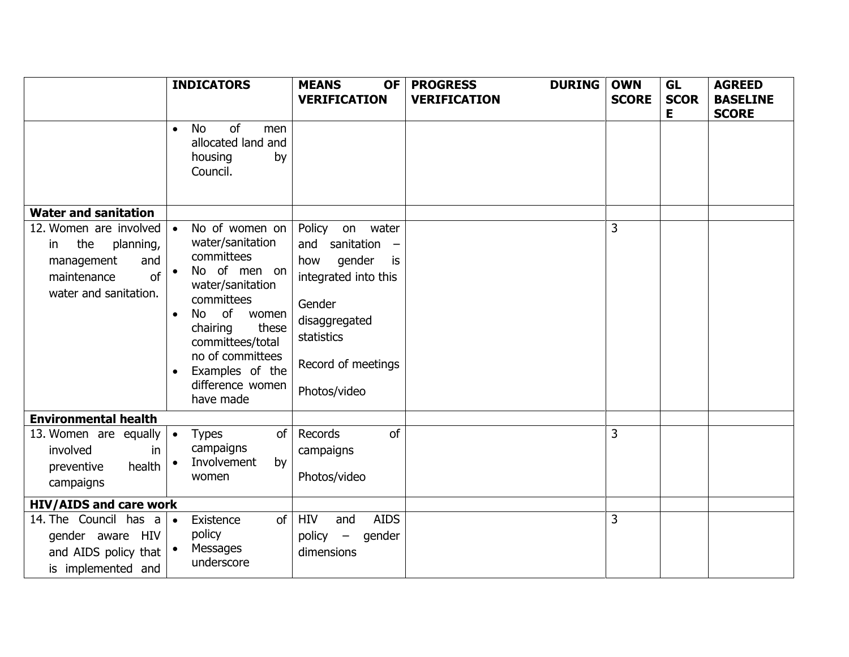|                                                                                                                         | <b>INDICATORS</b>                                                                                                                                                                                                                                     | <b>MEANS</b><br><b>OF</b>                                                                                                                                                                            | <b>PROGRESS</b><br><b>DURING</b> | <b>OWN</b>   | <b>GL</b>        | <b>AGREED</b>                   |
|-------------------------------------------------------------------------------------------------------------------------|-------------------------------------------------------------------------------------------------------------------------------------------------------------------------------------------------------------------------------------------------------|------------------------------------------------------------------------------------------------------------------------------------------------------------------------------------------------------|----------------------------------|--------------|------------------|---------------------------------|
|                                                                                                                         |                                                                                                                                                                                                                                                       | <b>VERIFICATION</b>                                                                                                                                                                                  | <b>VERIFICATION</b>              | <b>SCORE</b> | <b>SCOR</b><br>Е | <b>BASELINE</b><br><b>SCORE</b> |
|                                                                                                                         | of<br><b>No</b><br>men<br>$\bullet$<br>allocated land and<br>housing<br>by<br>Council.                                                                                                                                                                |                                                                                                                                                                                                      |                                  |              |                  |                                 |
| <b>Water and sanitation</b>                                                                                             |                                                                                                                                                                                                                                                       |                                                                                                                                                                                                      |                                  |              |                  |                                 |
| 12. Women are involved   •<br>the<br>planning,<br>in<br>and<br>management<br>maintenance<br>of<br>water and sanitation. | No of women on<br>water/sanitation<br>committees<br>No of men on<br>water/sanitation<br>committees<br>of<br>No<br>women<br>$\bullet$<br>these<br>chairing<br>committees/total<br>no of committees<br>Examples of the<br>difference women<br>have made | Policy<br>on<br>water<br>sanitation<br>and<br>$\overline{\phantom{m}}$<br>gender<br>how<br>is<br>integrated into this<br>Gender<br>disaggregated<br>statistics<br>Record of meetings<br>Photos/video |                                  | 3            |                  |                                 |
| <b>Environmental health</b>                                                                                             |                                                                                                                                                                                                                                                       |                                                                                                                                                                                                      |                                  |              |                  |                                 |
| 13. Women are equally $\bullet$<br>involved<br>in<br>health<br>preventive<br>campaigns                                  | of<br><b>Types</b><br>campaigns<br>Involvement<br>by<br>women                                                                                                                                                                                         | Records<br>of<br>campaigns<br>Photos/video                                                                                                                                                           |                                  | 3            |                  |                                 |
| <b>HIV/AIDS and care work</b>                                                                                           |                                                                                                                                                                                                                                                       |                                                                                                                                                                                                      |                                  |              |                  |                                 |
| 14. The Council has $a \rightarrow$<br>gender aware HIV<br>and AIDS policy that<br>is implemented and                   | of<br>Existence<br>policy<br>Messages<br>underscore                                                                                                                                                                                                   | <b>HIV</b><br><b>AIDS</b><br>and<br>$policy -$<br>gender<br>dimensions                                                                                                                               |                                  | 3            |                  |                                 |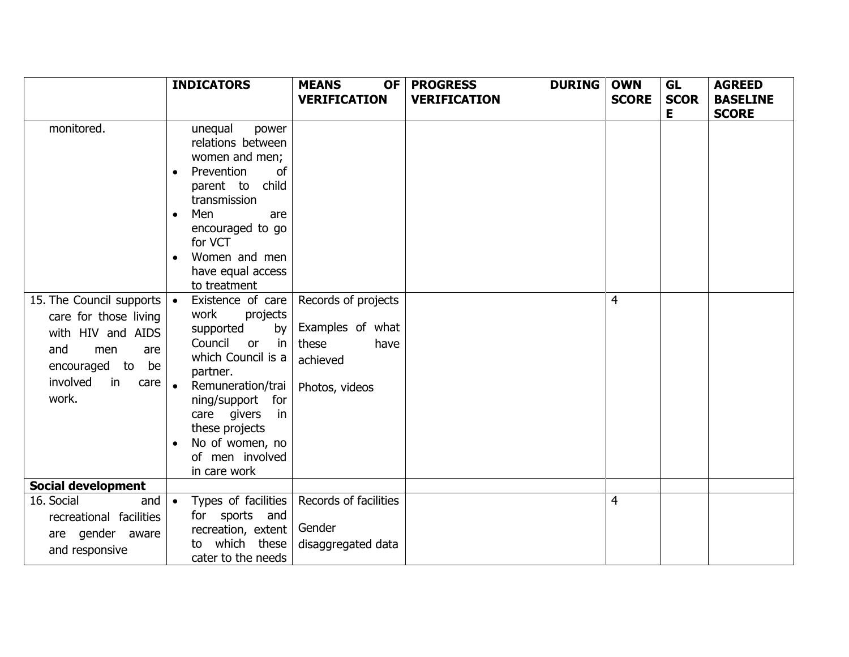|                                                                                                                                                            | <b>INDICATORS</b>                                                                                                                                                                                                                                                                          | <b>MEANS</b><br><b>OF</b>                                                              | <b>PROGRESS</b><br><b>DURING</b> | <b>OWN</b>     | GL               | <b>AGREED</b>                   |
|------------------------------------------------------------------------------------------------------------------------------------------------------------|--------------------------------------------------------------------------------------------------------------------------------------------------------------------------------------------------------------------------------------------------------------------------------------------|----------------------------------------------------------------------------------------|----------------------------------|----------------|------------------|---------------------------------|
|                                                                                                                                                            |                                                                                                                                                                                                                                                                                            | <b>VERIFICATION</b>                                                                    | <b>VERIFICATION</b>              | <b>SCORE</b>   | <b>SCOR</b><br>Е | <b>BASELINE</b><br><b>SCORE</b> |
| monitored.                                                                                                                                                 | unequal<br>power<br>relations between<br>women and men;<br>Prevention<br>of<br>$\bullet$<br>parent to child<br>transmission<br>Men<br>are<br>encouraged to go<br>for VCT<br>Women and men<br>have equal access<br>to treatment                                                             |                                                                                        |                                  |                |                  |                                 |
| 15. The Council supports $\cdot$<br>care for those living<br>with HIV and AIDS<br>and<br>men<br>are<br>encouraged to be<br>involved<br>in<br>care<br>work. | Existence of care<br>work<br>projects<br>by<br>supported<br>Council<br>$\overline{\mathsf{in}}$<br>or<br>which Council is a<br>partner.<br>$\bullet$<br>Remuneration/trai<br>ning/support for<br>care givers<br>in<br>these projects<br>No of women, no<br>of men involved<br>in care work | Records of projects<br>Examples of what<br>these<br>have<br>achieved<br>Photos, videos |                                  | 4              |                  |                                 |
| <b>Social development</b>                                                                                                                                  |                                                                                                                                                                                                                                                                                            |                                                                                        |                                  |                |                  |                                 |
| 16. Social<br>and  <br>recreational facilities<br>are gender aware<br>and responsive                                                                       | Types of facilities<br>$\bullet$<br>for sports and<br>recreation, extent<br>which these<br>to<br>cater to the needs                                                                                                                                                                        | Records of facilities<br>Gender<br>disaggregated data                                  |                                  | $\overline{4}$ |                  |                                 |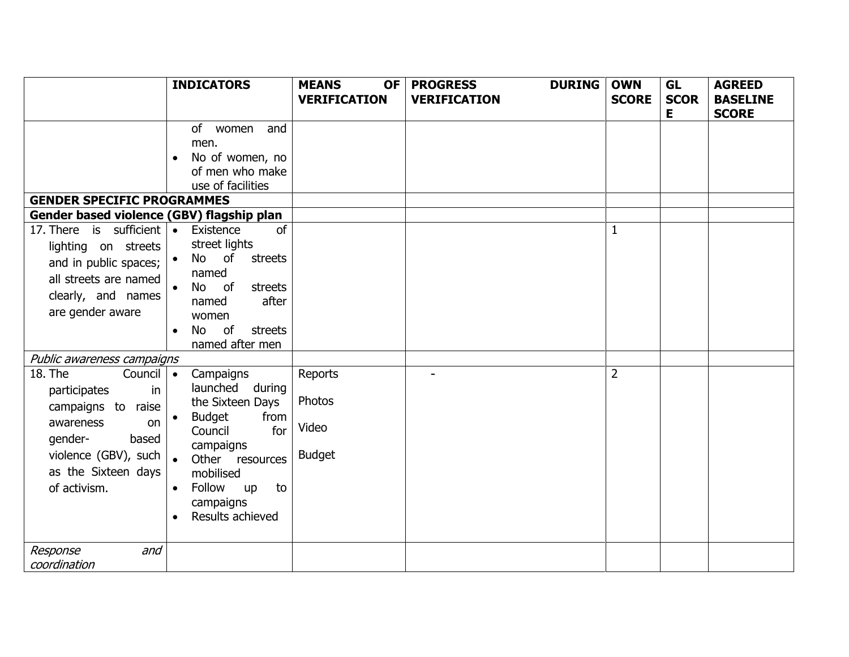|                                                                                                                                                                                                | <b>INDICATORS</b>                                                                                                                                                                                               | <b>MEANS</b><br>OF I                        | <b>PROGRESS</b>     | <b>DURING</b> | <b>OWN</b>     | <b>GL</b>   | <b>AGREED</b>   |
|------------------------------------------------------------------------------------------------------------------------------------------------------------------------------------------------|-----------------------------------------------------------------------------------------------------------------------------------------------------------------------------------------------------------------|---------------------------------------------|---------------------|---------------|----------------|-------------|-----------------|
|                                                                                                                                                                                                |                                                                                                                                                                                                                 | <b>VERIFICATION</b>                         | <b>VERIFICATION</b> |               | <b>SCORE</b>   | <b>SCOR</b> | <b>BASELINE</b> |
| <b>GENDER SPECIFIC PROGRAMMES</b><br>Gender based violence (GBV) flagship plan<br>17. There is sufficient $\bullet$<br>lighting on streets<br>and in public spaces;  <br>all streets are named | of women and<br>men.<br>No of women, no<br>$\bullet$<br>of men who make<br>use of facilities<br>of<br>Existence<br>street lights<br>No of<br>streets<br>named                                                   |                                             |                     |               | $\mathbf{1}$   | E           | <b>SCORE</b>    |
| clearly, and names<br>are gender aware                                                                                                                                                         | of<br>streets<br>No<br>after<br>named<br>women<br>of<br>streets<br><b>No</b><br>$\bullet$<br>named after men                                                                                                    |                                             |                     |               |                |             |                 |
| Public awareness campaigns                                                                                                                                                                     |                                                                                                                                                                                                                 |                                             |                     |               |                |             |                 |
| 18. The<br>Council   •<br>participates<br>in<br>campaigns to raise<br>awareness<br>on<br>gender-<br>based<br>violence (GBV), such<br>as the Sixteen days<br>of activism.                       | Campaigns<br>launched during<br>the Sixteen Days<br><b>Budget</b><br>from<br>Council<br>for<br>campaigns<br>Other<br>resources<br>mobilised<br>Follow<br>to<br>up<br>$\bullet$<br>campaigns<br>Results achieved | Reports<br>Photos<br>Video<br><b>Budget</b> |                     |               | $\overline{2}$ |             |                 |
| Response<br>and<br>coordination                                                                                                                                                                |                                                                                                                                                                                                                 |                                             |                     |               |                |             |                 |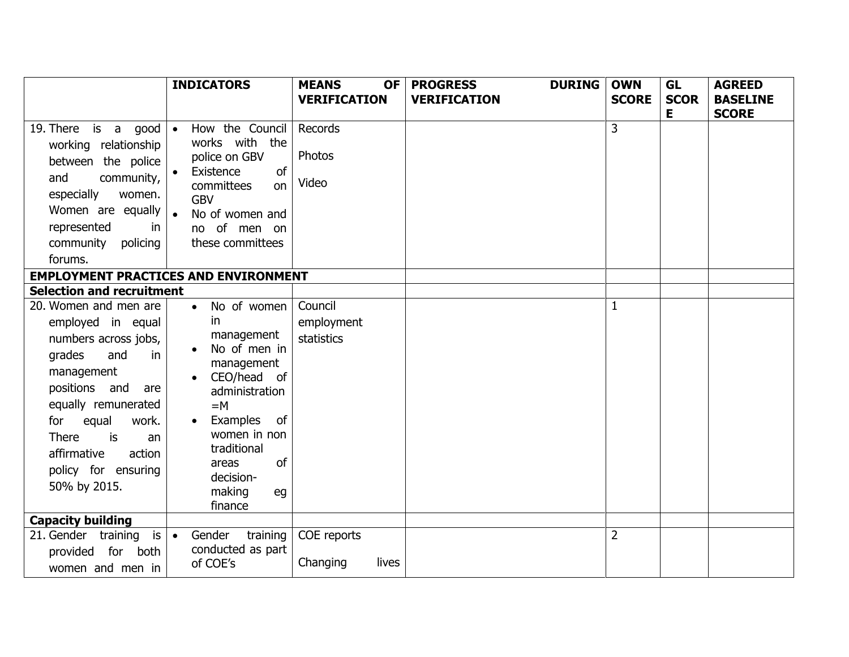|                                                                                                                                                                                                                                                                      | <b>INDICATORS</b>                                                                                                                                                                                                         | <b>MEANS</b><br><b>OF</b>           | <b>PROGRESS</b><br><b>DURING</b> | <b>OWN</b>     | <b>GL</b>   | <b>AGREED</b>   |
|----------------------------------------------------------------------------------------------------------------------------------------------------------------------------------------------------------------------------------------------------------------------|---------------------------------------------------------------------------------------------------------------------------------------------------------------------------------------------------------------------------|-------------------------------------|----------------------------------|----------------|-------------|-----------------|
|                                                                                                                                                                                                                                                                      |                                                                                                                                                                                                                           | <b>VERIFICATION</b>                 | <b>VERIFICATION</b>              | <b>SCORE</b>   | <b>SCOR</b> | <b>BASELINE</b> |
| 19. There is a good $\bullet$<br>working relationship<br>between the police<br>and<br>community,<br>especially<br>women.<br>Women are equally  <br>represented<br>in<br>community policing<br>forums.                                                                | How the Council<br>works with the<br>police on GBV<br>of<br>Existence<br>committees<br>on<br><b>GBV</b><br>No of women and<br>no of men on<br>these committees                                                            | Records<br>Photos<br>Video          |                                  | $\overline{3}$ | Е           | <b>SCORE</b>    |
| <b>EMPLOYMENT PRACTICES AND ENVIRONMENT</b>                                                                                                                                                                                                                          |                                                                                                                                                                                                                           |                                     |                                  |                |             |                 |
| <b>Selection and recruitment</b>                                                                                                                                                                                                                                     |                                                                                                                                                                                                                           |                                     |                                  |                |             |                 |
| 20. Women and men are<br>employed in equal<br>numbers across jobs,<br>grades<br>and<br>in<br>management<br>positions and<br>are<br>equally remunerated<br>equal<br>work.<br>for<br>There<br>is<br>an<br>affirmative<br>action<br>policy for ensuring<br>50% by 2015. | No of women<br>$\bullet$<br>in.<br>management<br>No of men in<br>management<br>CEO/head of<br>administration<br>$=M$<br>Examples of<br>women in non<br>traditional<br>of<br>areas<br>decision-<br>making<br>eg<br>finance | Council<br>employment<br>statistics |                                  | $\mathbf{1}$   |             |                 |
| <b>Capacity building</b>                                                                                                                                                                                                                                             |                                                                                                                                                                                                                           |                                     |                                  |                |             |                 |
| 21. Gender training is $\bullet$<br>provided for both<br>women and men in                                                                                                                                                                                            | Gender<br>training<br>conducted as part<br>of COE's                                                                                                                                                                       | COE reports<br>Changing<br>lives    |                                  | $\overline{2}$ |             |                 |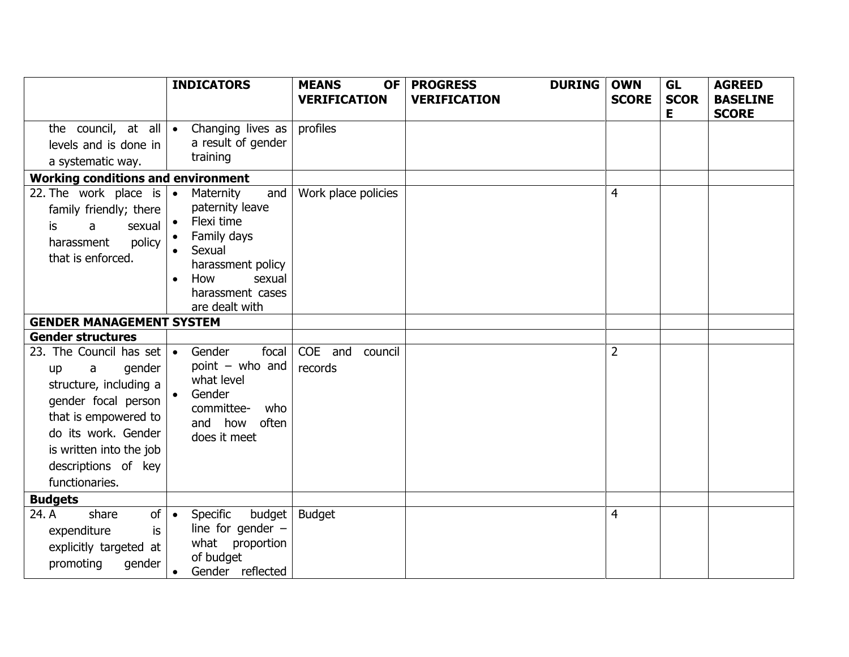|                                                                                                                                                                                                                  | <b>INDICATORS</b>                                                                                                                                                   | <b>MEANS</b><br><b>OF</b><br><b>VERIFICATION</b> | <b>PROGRESS</b><br><b>DURING</b><br><b>VERIFICATION</b> | <b>OWN</b><br><b>SCORE</b> | <b>GL</b><br><b>SCOR</b> | <b>AGREED</b><br><b>BASELINE</b> |
|------------------------------------------------------------------------------------------------------------------------------------------------------------------------------------------------------------------|---------------------------------------------------------------------------------------------------------------------------------------------------------------------|--------------------------------------------------|---------------------------------------------------------|----------------------------|--------------------------|----------------------------------|
|                                                                                                                                                                                                                  |                                                                                                                                                                     |                                                  |                                                         |                            | Е                        | <b>SCORE</b>                     |
|                                                                                                                                                                                                                  | the council, at all $\bullet$ Changing lives as                                                                                                                     | profiles                                         |                                                         |                            |                          |                                  |
| levels and is done in                                                                                                                                                                                            | a result of gender                                                                                                                                                  |                                                  |                                                         |                            |                          |                                  |
| a systematic way.                                                                                                                                                                                                | training                                                                                                                                                            |                                                  |                                                         |                            |                          |                                  |
| <b>Working conditions and environment</b>                                                                                                                                                                        |                                                                                                                                                                     |                                                  |                                                         |                            |                          |                                  |
| 22. The work place is $\cdot$<br>family friendly; there<br>sexual<br>is.<br>a<br>policy<br>harassment<br>that is enforced.                                                                                       | Maternity<br>and<br>paternity leave<br>Flexi time<br>Family days<br>Sexual<br>harassment policy<br>sexual<br>How<br>$\bullet$<br>harassment cases<br>are dealt with | Work place policies                              |                                                         | 4                          |                          |                                  |
| <b>GENDER MANAGEMENT SYSTEM</b>                                                                                                                                                                                  |                                                                                                                                                                     |                                                  |                                                         |                            |                          |                                  |
| <b>Gender structures</b>                                                                                                                                                                                         |                                                                                                                                                                     |                                                  |                                                         |                            |                          |                                  |
| 23. The Council has set<br>gender<br>a<br>up<br>structure, including a<br>gender focal person<br>that is empowered to<br>do its work. Gender<br>is written into the job<br>descriptions of key<br>functionaries. | Gender<br>focal<br>$\bullet$<br>point $-$ who and<br>what level<br>Gender<br>committee-<br>who<br>and how often<br>does it meet                                     | COE and<br>council<br>records                    |                                                         | $\overline{2}$             |                          |                                  |
| <b>Budgets</b>                                                                                                                                                                                                   |                                                                                                                                                                     |                                                  |                                                         |                            |                          |                                  |
| 24. A<br>share<br>of <sub>l</sub><br>expenditure<br>is<br>explicitly targeted at<br>promoting<br>gender                                                                                                          | budget<br>Specific<br>$\bullet$<br>line for gender $-$<br>what proportion<br>of budget<br>Gender reflected<br>$\bullet$                                             | <b>Budget</b>                                    |                                                         | 4                          |                          |                                  |